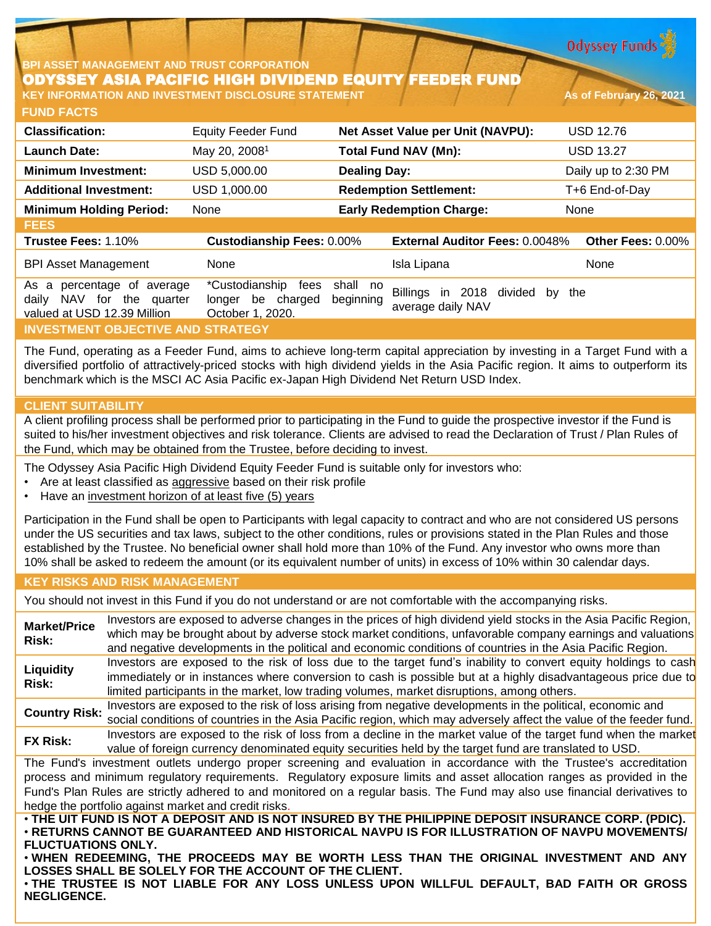**Odyssey Funds** 

### **BPI ASSET MANAGEMENT AND TRUST CORPORATION** ODYSSEY ASIA PACIFIC HIGH DIVIDEND EQUITY FEEDER FUND **KEY INFORMATION AND INVESTMENT DISCLOSURE STATEMENT AND AS of February 26, 2021**

**FUND FACTS**

| <b>Classification:</b>                                                                                | <b>Equity Feeder Fund</b>                                          | Net Asset Value per Unit (NAVPU):                                     | <b>USD 12.76</b>     |
|-------------------------------------------------------------------------------------------------------|--------------------------------------------------------------------|-----------------------------------------------------------------------|----------------------|
| Launch Date:                                                                                          | May 20, 2008 <sup>1</sup>                                          | <b>Total Fund NAV (Mn):</b>                                           | <b>USD 13.27</b>     |
| <b>Minimum Investment:</b>                                                                            | USD 5,000.00                                                       | <b>Dealing Day:</b>                                                   | Daily up to 2:30 PM  |
| <b>Additional Investment:</b>                                                                         | USD 1,000.00                                                       | <b>Redemption Settlement:</b>                                         | T+6 End-of-Day       |
| <b>Minimum Holding Period:</b>                                                                        | None                                                               | <b>Early Redemption Charge:</b>                                       | None                 |
| <b>FEES</b>                                                                                           |                                                                    |                                                                       |                      |
| Trustee Fees: 1.10%                                                                                   | <b>Custodianship Fees: 0.00%</b>                                   | <b>External Auditor Fees: 0.0048%</b>                                 | Other Fees: 0.00%    |
| <b>BPI Asset Management</b>                                                                           | <b>None</b>                                                        | Isla Lipana                                                           | None                 |
| percentage of average<br>As<br>a<br>NAV for<br>the<br>daily<br>quarter<br>valued at USD 12.39 Million | *Custodianship<br>fees<br>be charged<br>longer<br>October 1, 2020. | shall no<br>Billings<br>2018<br>in.<br>beginning<br>average daily NAV | divided<br>the<br>by |
| <b>INVESTMENT OBJECTIVE AND STRATEGY</b>                                                              |                                                                    |                                                                       |                      |

The Fund, operating as a Feeder Fund, aims to achieve long-term capital appreciation by investing in a Target Fund with a diversified portfolio of attractively-priced stocks with high dividend yields in the Asia Pacific region. It aims to outperform its benchmark which is the MSCI AC Asia Pacific ex-Japan High Dividend Net Return USD Index.

# **CLIENT SUITABILITY**

A client profiling process shall be performed prior to participating in the Fund to guide the prospective investor if the Fund is suited to his/her investment objectives and risk tolerance. Clients are advised to read the Declaration of Trust / Plan Rules of the Fund, which may be obtained from the Trustee, before deciding to invest.

The Odyssey Asia Pacific High Dividend Equity Feeder Fund is suitable only for investors who:

- Are at least classified as aggressive based on their risk profile
- Have an investment horizon of at least five (5) years

Participation in the Fund shall be open to Participants with legal capacity to contract and who are not considered US persons under the US securities and tax laws, subject to the other conditions, rules or provisions stated in the Plan Rules and those established by the Trustee. No beneficial owner shall hold more than 10% of the Fund. Any investor who owns more than 10% shall be asked to redeem the amount (or its equivalent number of units) in excess of 10% within 30 calendar days.

# **KEY RISKS AND RISK MANAGEMENT**

You should not invest in this Fund if you do not understand or are not comfortable with the accompanying risks.

**Market/Price Risk:** Investors are exposed to adverse changes in the prices of high dividend yield stocks in the Asia Pacific Region, which may be brought about by adverse stock market conditions, unfavorable company earnings and valuations and negative developments in the political and economic conditions of countries in the Asia Pacific Region. **Liquidity Risk:** Investors are exposed to the risk of loss due to the target fund's inability to convert equity holdings to cash immediately or in instances where conversion to cash is possible but at a highly disadvantageous price due to limited participants in the market, low trading volumes, market disruptions, among others. **Country Risk:** Investors are exposed to the risk of loss arising from negative developments in the political, economic and social conditions of countries in the Asia Pacific region, which may adversely affect the value of the feeder fund. **FX Risk:** Investors are exposed to the risk of loss from <sup>a</sup> decline in the market value of the target fund when the market value of foreign currency denominated equity securities held by the target fund are translated to USD. The Fund's investment outlets undergo proper screening and evaluation in accordance with the Trustee's accreditation process and minimum regulatory requirements. Regulatory exposure limits and asset allocation ranges as provided in the Fund's Plan Rules are strictly adhered to and monitored on a regular basis. The Fund may also use financial derivatives to hedge the portfolio against market and credit risks. . THE UIT FUND IS NOT A DEPOSIT AND IS NOT INSURED BY THE PHILIPPINE DEPOSIT INSURANCE CORP. (PDIC). • **RETURNS CANNOT BE GUARANTEED AND HISTORICAL NAVPU IS FOR ILLUSTRATION OF NAVPU MOVEMENTS/ FLUCTUATIONS ONLY.**

• **WHEN REDEEMING, THE PROCEEDS MAY BE WORTH LESS THAN THE ORIGINAL INVESTMENT AND ANY LOSSES SHALL BE SOLELY FOR THE ACCOUNT OF THE CLIENT.**

• **THE TRUSTEE IS NOT LIABLE FOR ANY LOSS UNLESS UPON WILLFUL DEFAULT, BAD FAITH OR GROSS NEGLIGENCE.**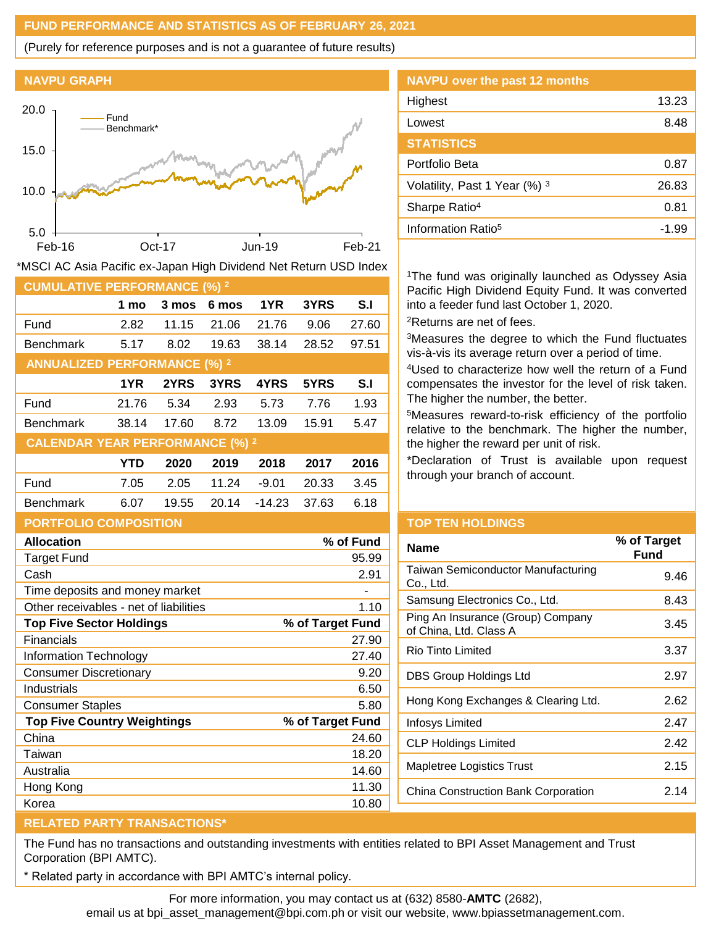### **FUND PERFORMANCE AND STATISTICS AS OF FEBRUARY 26, 2021**

(Purely for reference purposes and is not a guarantee of future results)

#### **NAVPU GRAPH**



| <b>CUMULATIVE PERFORMANCE (%) 2</b>    |       |       |       |          |       |       |
|----------------------------------------|-------|-------|-------|----------|-------|-------|
|                                        | 1 mo  | 3 mos | 6 mos | 1YR      | 3YRS  | S.I   |
| Fund                                   | 2.82  | 11.15 | 21.06 | 21.76    | 9.06  | 27.60 |
| <b>Benchmark</b>                       | 5.17  | 8.02  | 19.63 | 38.14    | 28.52 | 97.51 |
| <b>ANNUALIZED PERFORMANCE (%) 2</b>    |       |       |       |          |       |       |
|                                        | 1YR   | 2YRS  | 3YRS  | 4YRS     | 5YRS  | S.I   |
| Fund                                   | 21.76 | 5.34  | 2.93  | 5.73     | 7.76  | 1.93  |
| <b>Benchmark</b>                       | 38.14 | 17.60 | 8.72  | 13.09    | 15.91 | 5.47  |
| <b>CALENDAR YEAR PERFORMANCE (%) 2</b> |       |       |       |          |       |       |
|                                        | YTD   | 2020  | 2019  | 2018     | 2017  | 2016  |
| Fund                                   | 7.05  | 2.05  | 11.24 | $-9.01$  | 20.33 | 3.45  |
| <b>Benchmark</b>                       | 6.07  | 19.55 | 20.14 | $-14.23$ | 37.63 | 6.18  |
| <b>PORTFOLIO COMPOSITION</b>           |       |       |       |          |       |       |
| <b>Allocation</b><br>% of Fund         |       |       |       |          |       |       |
| Target Fund                            |       |       |       |          |       | 95.99 |

Cash 2.91

Other receivables - net of liabilities 1.10 **Top Five Sector Holdings % of Target Fund** Financials 27.90 Information Technology 27.40 Consumer Discretionary 6.20 Industrials 6.50 Consumer Staples 5.80 **Top Five Country Weightings % of Target Fund** China 24.60 Taiwan 18.20 Australia 14.60 Hong Kong **11.30** Korea 10.80

\*MSCI AC Asia Pacific ex-Japan High Dividend Net Return USD Index

| <b>NAVPU over the past 12 months</b> |       |
|--------------------------------------|-------|
| Highest                              | 13.23 |
| Lowest                               | 8.48  |
| <b>STATISTICS</b>                    |       |
| Portfolio Beta                       | 0.87  |
| Volatility, Past 1 Year (%) 3        | 26.83 |
| Sharpe Ratio <sup>4</sup>            | 0.81  |
| Information Ratio <sup>5</sup>       | -1.99 |

<sup>1</sup>The fund was originally launched as Odyssey Asia Pacific High Dividend Equity Fund. It was converted into a feeder fund last October 1, 2020. <sup>2</sup>Returns are net of fees.

<sup>3</sup>Measures the degree to which the Fund fluctuates vis-à-vis its average return over a period of time.

<sup>4</sup>Used to characterize how well the return of a Fund compensates the investor for the level of risk taken. The higher the number, the better.

<sup>5</sup>Measures reward-to-risk efficiency of the portfolio relative to the benchmark. The higher the number, the higher the reward per unit of risk.

\*Declaration of Trust is available upon request through your branch of account.

| <b>TOP TEN HOLDINGS</b> |  |  |
|-------------------------|--|--|
|                         |  |  |

| <b>Name</b>                                                 | % of Target<br>Fund |
|-------------------------------------------------------------|---------------------|
| Taiwan Semiconductor Manufacturing<br>Co., Ltd.             | 9.46                |
| Samsung Electronics Co., Ltd.                               | 8.43                |
| Ping An Insurance (Group) Company<br>of China, Ltd. Class A | 3.45                |
| Rio Tinto Limited                                           | 3.37                |
| DBS Group Holdings Ltd                                      | 2.97                |
| Hong Kong Exchanges & Clearing Ltd.                         | 2.62                |
| Infosys Limited                                             | 2.47                |
| <b>CLP Holdings Limited</b>                                 | 2.42                |
| <b>Mapletree Logistics Trust</b>                            | 2.15                |
| China Construction Bank Corporation                         | 2.14                |
|                                                             |                     |

# **RELATED PARTY TRANSACTIONS\***

Time deposits and money market

The Fund has no transactions and outstanding investments with entities related to BPI Asset Management and Trust Corporation (BPI AMTC).

Related party in accordance with BPI AMTC's internal policy.

For more information, you may contact us at (632) 8580-**AMTC** (2682),

email us at bpi\_asset\_management@bpi.com.ph or visit our website, www.bpiassetmanagement.com.